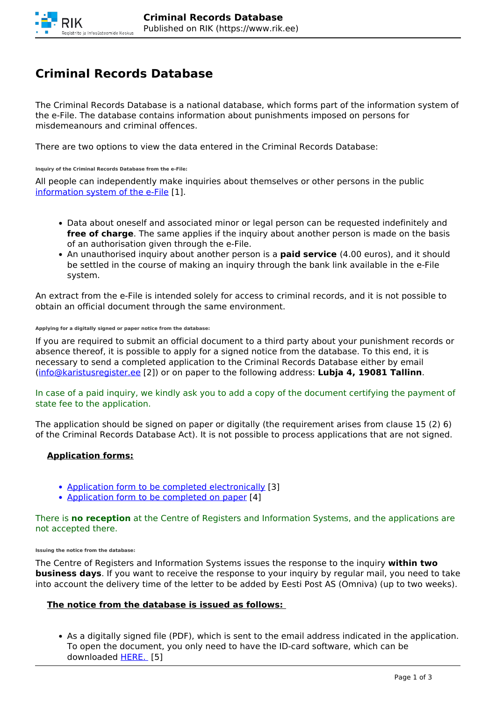# **Criminal Records Database**

The Criminal Records Database is a national database, which forms part of the information system of the e-File. The database contains information about punishments imposed on persons for misdemeanours and criminal offences.

There are two options to view the data entered in the Criminal Records Database:

**Inquiry of the Criminal Records Database from the e-File:** 

All people can independently make inquiries about themselves or other persons in the public [information system of the e-File](https://www.e-toimik.ee/) [1].

- Data about oneself and associated minor or legal person can be requested indefinitely and **free of charge**. The same applies if the inquiry about another person is made on the basis of an authorisation given through the e-File.
- An unauthorised inquiry about another person is a **paid service** (4.00 euros), and it should be settled in the course of making an inquiry through the bank link available in the e-File system.

An extract from the e-File is intended solely for access to criminal records, and it is not possible to obtain an official document through the same environment.

#### **Applying for a digitally signed or paper notice from the database:**

If you are required to submit an official document to a third party about your punishment records or absence thereof, it is possible to apply for a signed notice from the database. To this end, it is necessary to send a completed application to the Criminal Records Database either by email (info@karistusregister.ee [2]) or on paper to the following address: **Lubja 4, 19081 Tallinn**.

In case of a paid inquiry, we kindly ask you to add a copy of the document certifying the payment of state fee to the application.

The application should be signed on paper or digitally (the requirement arises from clause 15 (2) 6) of the Criminal Records Database Act). It is not possible to process applications that are not signed.

# **Application forms:**

- Application form to be completed electronically [3]
- Application form to be completed on paper [4]

There is **no reception** at the Centre of Registers and Information Systems, and the applications are not accepted there.

**Issuing the notice from the database:** 

The Centre of Registers and Information Systems issues the response to the inquiry **within two business days**. If you want to receive the response to your inquiry by regular mail, you need to take into account the delivery time of the letter to be added by Eesti Post AS (Omniva) (up to two weeks).

# **The notice from the database is issued as follows:**

As a digitally signed file (PDF), which is sent to the email address indicated in the application. To open the document, you only need to have the ID-card software, which can be downloaded HERE. [5]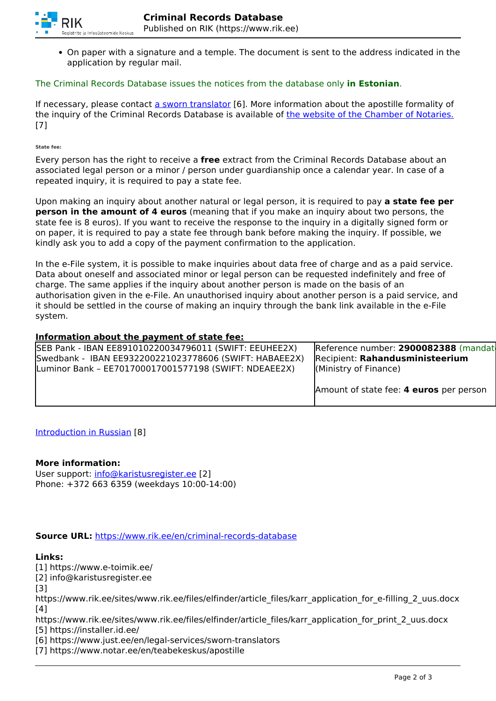

On paper with a signature and a temple. The document is sent to the address indicated in the application by regular mail.

### The Criminal Records Database issues the notices from the database only **in Estonian**.

If necessary, please contact a sworn translator [6]. More information about the apostille formality of the inquiry of the Criminal Records Database is available of the website of the Chamber of Notaries. [7]

**State fee:**

Every person has the right to receive a **free** extract from the Criminal Records Database about an associated legal person or a minor / person under guardianship once a calendar year. In case of a repeated inquiry, it is required to pay a state fee.

Upon making an inquiry about another natural or legal person, it is required to pay **a state fee per person in the amount of 4 euros** (meaning that if you make an inquiry about two persons, the state fee is 8 euros). If you want to receive the response to the inquiry in a digitally signed form or on paper, it is required to pay a state fee through bank before making the inquiry. If possible, we kindly ask you to add a copy of the payment confirmation to the application.

In the e-File system, it is possible to make inquiries about data free of charge and as a paid service. Data about oneself and associated minor or legal person can be requested indefinitely and free of charge. The same applies if the inquiry about another person is made on the basis of an authorisation given in the e-File. An unauthorised inquiry about another person is a paid service, and it should be settled in the course of making an inquiry through the bank link available in the e-File system.

## **Information about the payment of state fee:**

| SEB Pank - IBAN EE891010220034796011 (SWIFT: EEUHEE2X) | Reference number: 2900082388 (mandat    |
|--------------------------------------------------------|-----------------------------------------|
| Swedbank - IBAN EE932200221023778606 (SWIFT: HABAEE2X) | Recipient: Rahandusministeerium         |
| Luminor Bank - EE701700017001577198 (SWIFT: NDEAEE2X)  | (Ministry of Finance)                   |
|                                                        |                                         |
|                                                        | Amount of state fee: 4 euros per person |

Introduction in Russian [8]

#### **More information:**

User support: info@karistusregister.ee [2] Phone: +372 663 6359 (weekdays 10:00-14:00)

#### **Source URL:** https://www.rik.ee/en/criminal-records-database

#### **Links:**

[1] https://www.e-toimik.ee/ [2] info@karistusregister.ee [3] https://www.rik.ee/sites/www.rik.ee/files/elfinder/article\_files/karr\_application\_for\_e-filling\_2\_uus.docx [4] https://www.rik.ee/sites/www.rik.ee/files/elfinder/article\_files/karr\_application\_for\_print\_2\_uus.docx [5] https://installer.id.ee/

[6] https://www.just.ee/en/legal-services/sworn-translators

[7] https://www.notar.ee/en/teabekeskus/apostille